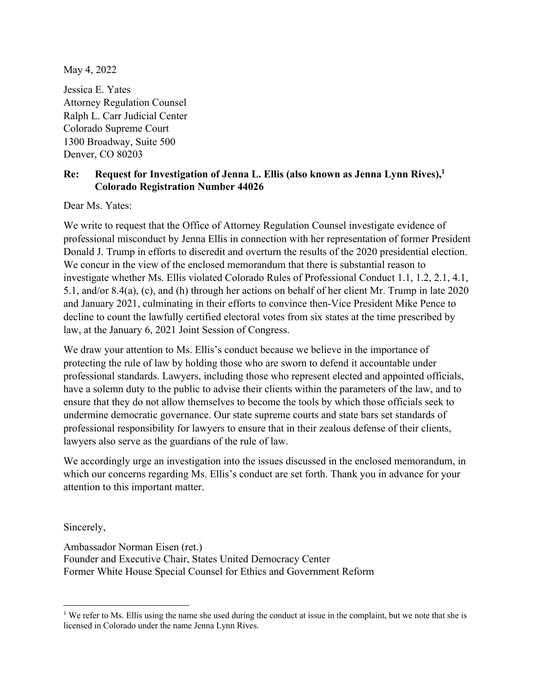May 4, 2022

Jessica E. Yates Attorney Regulation Counsel Ralph L. Carr Judicial Center Colorado Supreme Court 1300 Broadway, Suite 500 Denver, CO 80203

## **Re: Request for Investigation of Jenna L. Ellis (also known as Jenna Lynn Rives),1 Colorado Registration Number 44026**

Dear Ms. Yates:

We write to request that the Office of Attorney Regulation Counsel investigate evidence of professional misconduct by Jenna Ellis in connection with her representation of former President Donald J. Trump in efforts to discredit and overturn the results of the 2020 presidential election. We concur in the view of the enclosed memorandum that there is substantial reason to investigate whether Ms. Ellis violated Colorado Rules of Professional Conduct 1.1, 1.2, 2.1, 4.1, 5.1, and/or 8.4(a), (c), and (h) through her actions on behalf of her client Mr. Trump in late 2020 and January 2021, culminating in their efforts to convince then-Vice President Mike Pence to decline to count the lawfully certified electoral votes from six states at the time prescribed by law, at the January 6, 2021 Joint Session of Congress.

We draw your attention to Ms. Ellis's conduct because we believe in the importance of protecting the rule of law by holding those who are sworn to defend it accountable under professional standards. Lawyers, including those who represent elected and appointed officials, have a solemn duty to the public to advise their clients within the parameters of the law, and to ensure that they do not allow themselves to become the tools by which those officials seek to undermine democratic governance. Our state supreme courts and state bars set standards of professional responsibility for lawyers to ensure that in their zealous defense of their clients, lawyers also serve as the guardians of the rule of law.

We accordingly urge an investigation into the issues discussed in the enclosed memorandum, in which our concerns regarding Ms. Ellis's conduct are set forth. Thank you in advance for your attention to this important matter.

Sincerely,

Ambassador Norman Eisen (ret.) Founder and Executive Chair, States United Democracy Center Former White House Special Counsel for Ethics and Government Reform

<sup>&</sup>lt;sup>1</sup> We refer to Ms. Ellis using the name she used during the conduct at issue in the complaint, but we note that she is licensed in Colorado under the name Jenna Lynn Rives.